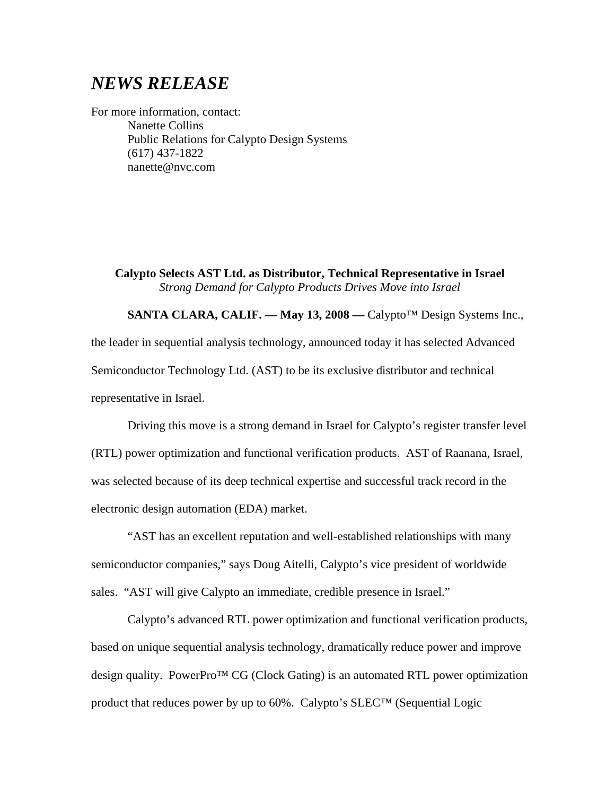## *NEWS RELEASE*

For more information, contact: Nanette Collins Public Relations for Calypto Design Systems (617) 437-1822 nanette@nvc.com

**Calypto Selects AST Ltd. as Distributor, Technical Representative in Israel** *Strong Demand for Calypto Products Drives Move into Israel*

**SANTA CLARA, CALIF. –– May 13, 2008 ––** Calypto™ Design Systems Inc., the leader in sequential analysis technology, announced today it has selected Advanced Semiconductor Technology Ltd. (AST) to be its exclusive distributor and technical representative in Israel.

Driving this move is a strong demand in Israel for Calypto's register transfer level (RTL) power optimization and functional verification products. AST of Raanana, Israel, was selected because of its deep technical expertise and successful track record in the electronic design automation (EDA) market.

"AST has an excellent reputation and well-established relationships with many semiconductor companies," says Doug Aitelli, Calypto's vice president of worldwide sales. "AST will give Calypto an immediate, credible presence in Israel."

Calypto's advanced RTL power optimization and functional verification products, based on unique sequential analysis technology, dramatically reduce power and improve design quality. PowerPro™ CG (Clock Gating) is an automated RTL power optimization product that reduces power by up to 60%. Calypto's SLEC™ (Sequential Logic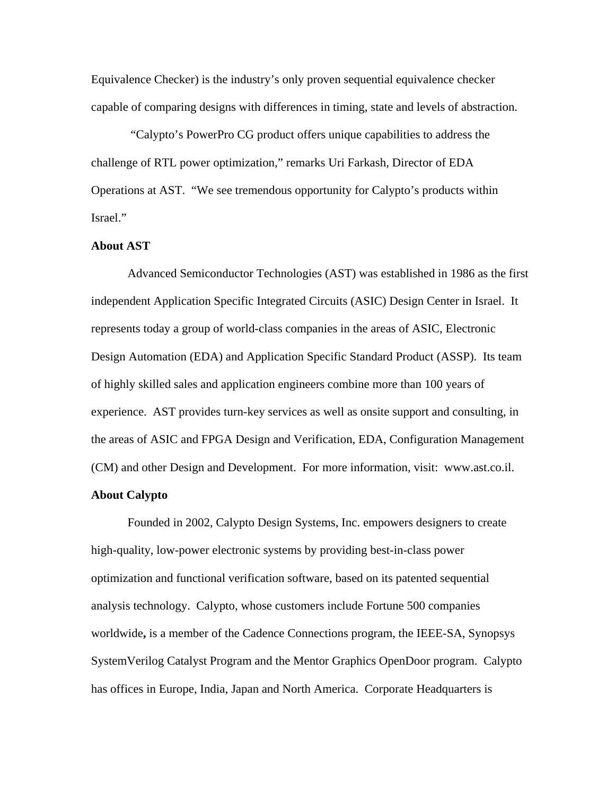Equivalence Checker) is the industry's only proven sequential equivalence checker capable of comparing designs with differences in timing, state and levels of abstraction.

"Calypto's PowerPro CG product offers unique capabilities to address the challenge of RTL power optimization," remarks Uri Farkash, Director of EDA Operations at AST. "We see tremendous opportunity for Calypto's products within Israel."

## **About AST**

Advanced Semiconductor Technologies (AST) was established in 1986 as the first independent Application Specific Integrated Circuits (ASIC) Design Center in Israel. It represents today a group of world-class companies in the areas of ASIC, Electronic Design Automation (EDA) and Application Specific Standard Product (ASSP). Its team of highly skilled sales and application engineers combine more than 100 years of experience. AST provides turn-key services as well as onsite support and consulting, in the areas of ASIC and FPGA Design and Verification, EDA, Configuration Management (CM) and other Design and Development. For more information, visit[: www.ast.co.il](http://www.ast.co.il/).

## **About Calypto**

Founded in 2002, Calypto Design Systems, Inc. empowers designers to create high-quality, low-power electronic systems by providing best-in-class power optimization and functional verification software, based on its patented sequential analysis technology. Calypto, whose customers include Fortune 500 companies worldwide**,** is a member of the Cadence Connections program, the IEEE-SA, Synopsys SystemVerilog Catalyst Program and the Mentor Graphics OpenDoor program. Calypto has offices in Europe, India, Japan and North America. Corporate Headquarters is